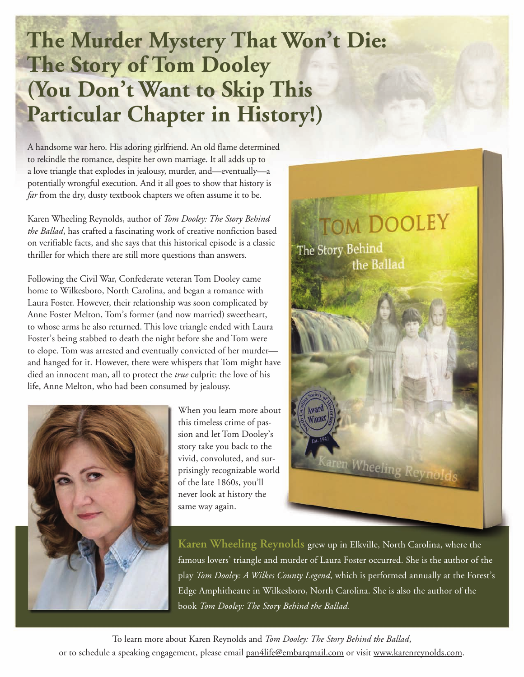## **The Murder Mystery That Won't Die: The Story of Tom Dooley (You Don't Want to Skip This Particular Chapter in History!)**

A handsome war hero. His adoring girlfriend. An old flame determined to rekindle the romance, despite her own marriage. It all adds up to a love triangle that explodes in jealousy, murder, and—eventually—a potentially wrongful execution. And it all goes to show that history is *far* from the dry, dusty textbook chapters we often assume it to be.

Karen Wheeling Reynolds, author of *Tom Dooley: The Story Behind the Ballad*, has crafted a fascinating work of creative nonfiction based on verifiable facts, and she says that this historical episode is a classic thriller for which there are still more questions than answers.

Following the Civil War, Confederate veteran Tom Dooley came home to Wilkesboro, North Carolina, and began a romance with Laura Foster. However, their relationship was soon complicated by Anne Foster Melton, Tom's former (and now married) sweetheart, to whose arms he also returned. This love triangle ended with Laura Foster's being stabbed to death the night before she and Tom were to elope. Tom was arrested and eventually convicted of her murder and hanged for it. However, there were whispers that Tom might have died an innocent man, all to protect the *true* culprit: the love of his life, Anne Melton, who had been consumed by jealousy.



When you learn more about this timeless crime of passion and let Tom Dooley's story take you back to the vivid, convoluted, and surprisingly recognizable world of the late 1860s, you'll never look at history the same way again.



**Karen Wheeling Reynolds** grew up in Elkville, North Carolina, where the famous lovers' triangle and murder of Laura Foster occurred. She is the author of the play *Tom Dooley: A Wilkes County Legend*, which is performed annually at the Forest's Edge Amphitheatre in Wilkesboro, North Carolina. She is also the author of the book *Tom Dooley: The Story Behind the Ballad.*

To learn more about Karen Reynolds and *Tom Dooley: The Story Behind the Ballad*, or to schedule a speaking engagement, please email pan4life@embarqmail.com or visit www.karenreynolds.com.